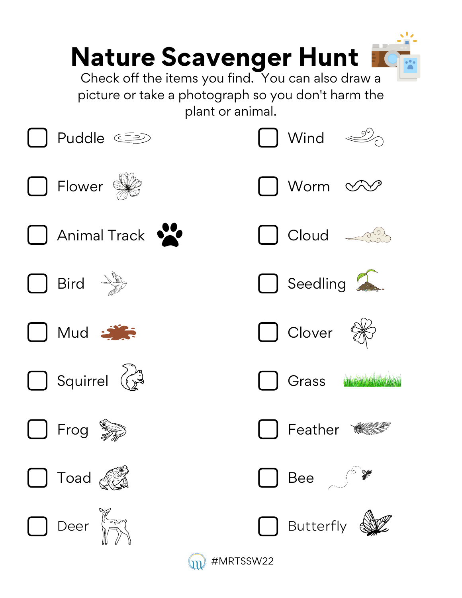